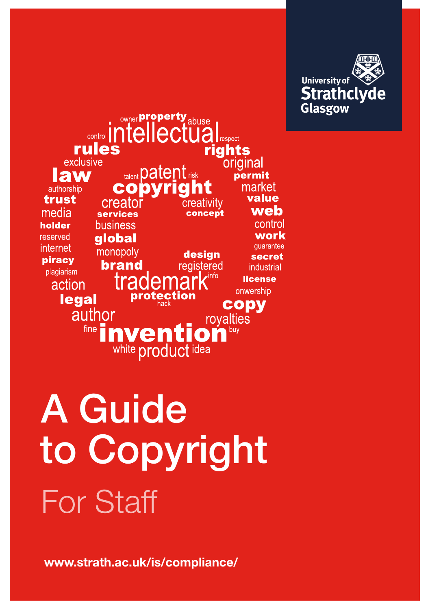

**Sungi Property abuse** respect rules rights exclusive original talent patent risk **Iaw** permit copvria market authorship value trust creato creativitv web media concept **services** control business holder work reserved **global** quarantee internet monopoly design secret piracy **brand** registered industrial plagiarism info **license** action onwership ction legal prote **CODV** author royalties  $fine$ buy nventi  $\Omega$ white product idea

For Staff A Guide to Copyright

www.strath.ac.uk/is/compliance/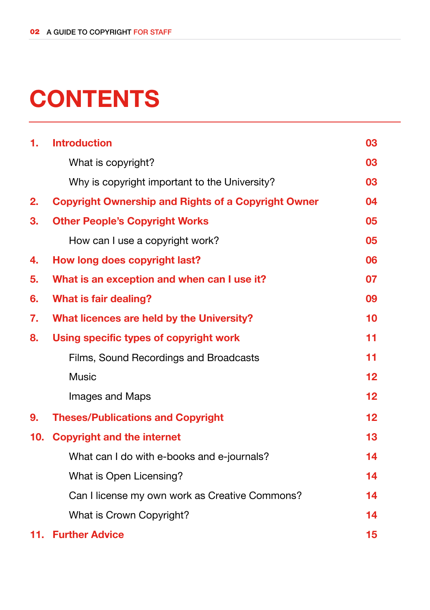# **CONTENTS**

| 1.  | <b>Introduction</b>                                        | 03                |
|-----|------------------------------------------------------------|-------------------|
|     | What is copyright?                                         | 03                |
|     | Why is copyright important to the University?              | 03                |
| 2.  | <b>Copyright Ownership and Rights of a Copyright Owner</b> | 04                |
| 3.  | <b>Other People's Copyright Works</b>                      | 05                |
|     | How can I use a copyright work?                            | 05                |
| 4.  | How long does copyright last?                              | 06                |
| 5.  | What is an exception and when can I use it?                | 07                |
| 6.  | <b>What is fair dealing?</b>                               | 09                |
| 7.  | What licences are held by the University?                  | 10                |
| 8.  | Using specific types of copyright work                     | 11                |
|     | Films, Sound Recordings and Broadcasts                     | 11                |
|     | Music                                                      | 12                |
|     | Images and Maps                                            | $12 \overline{ }$ |
| 9.  | <b>Theses/Publications and Copyright</b>                   | 12                |
| 10. | <b>Copyright and the internet</b>                          | 13                |
|     | What can I do with e-books and e-journals?                 | 14                |
|     | What is Open Licensing?                                    | 14                |
|     | Can I license my own work as Creative Commons?             | 14                |
|     | What is Crown Copyright?                                   | 14                |
| 11. | <b>Further Advice</b>                                      | 15                |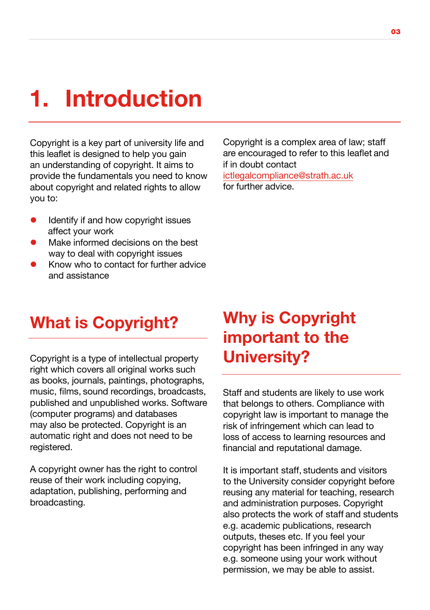### 1. Introduction

Copyright is a key part of university life and this leaflet is designed to help you gain an understanding of copyright. It aims to provide the fundamentals you need to know about copyright and related rights to allow you to:

- $\bullet$  Identify if and how copyright issues affect your work
- Make informed decisions on the best way to deal with copyright issues
- l Know who to contact for further advice and assistance

Copyright is a complex area of law; staff are encouraged to refer to this leaflet and if in doubt contact

ictlegalcompliance@strath.ac.uk for further advice.

#### What is Copyright?

Copyright is a type of intellectual property right which covers all original works such as books, journals, paintings, photographs, music, films, sound recordings, broadcasts, published and unpublished works. Software (computer programs) and databases may also be protected. Copyright is an automatic right and does not need to be registered.

A copyright owner has the right to control reuse of their work including copying, adaptation, publishing, performing and broadcasting.

### Why is Copyright important to the University?

Staff and students are likely to use work that belongs to others. Compliance with copyright law is important to manage the risk of infringement which can lead to loss of access to learning resources and financial and reputational damage.

It is important staff, students and visitors to the University consider copyright before reusing any material for teaching, research and administration purposes. Copyright also protects the work of staff and students e.g. academic publications, research outputs, theses etc. If you feel your copyright has been infringed in any way e.g. someone using your work without permission, we may be able to assist.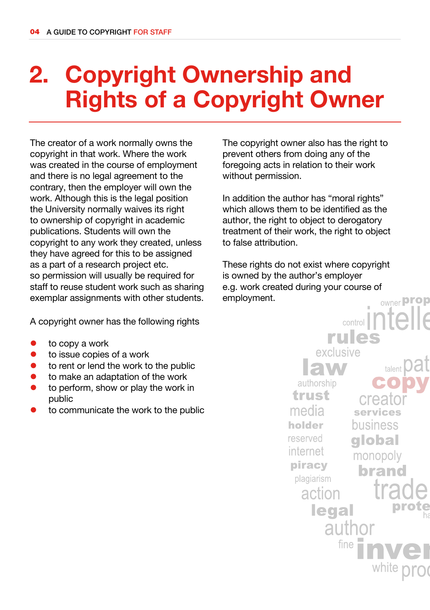# 2. Copyright Ownership and Rights of a Copyright Owner

The creator of a work normally owns the copyright in that work. Where the work was created in the course of employment and there is no legal agreement to the contrary, then the employer will own the work. Although this is the legal position the University normally waives its right to ownership of copyright in academic publications. Students will own the copyright to any work they created, unless they have agreed for this to be assigned as a part of a research project etc. so permission will usually be required for staff to reuse student work such as sharing exemplar assignments with other students.

A copyright owner has the following rights

- to copy a work
- $\bullet$  to issue copies of a work
- $\bullet$  to rent or lend the work to the public
- to make an adaptation of the work
- to perform, show or play the work in public
- to communicate the work to the public

The copyright owner also has the right to prevent others from doing any of the foregoing acts in relation to their work without permission.

In addition the author has "moral rights" which allows them to be identified as the author, the right to object to derogatory treatment of their work, the right to object to false attribution.

These rights do not exist where copyright is owned by the author's employer e.g. work created during your course of employment.owner **prop** 

> $control$ rules exclusive talent authorship trust creat media services holder business reserved qlobal internet monopoly piracy brand plagiarism action legal author fine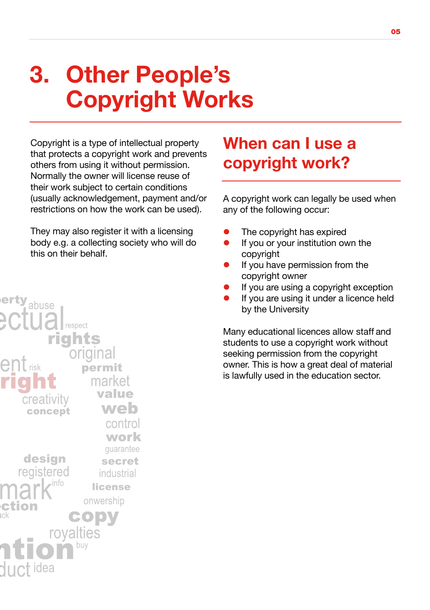# 3. Other People's Copyright Works

Copyright is a type of intellectual property that protects a copyright work and prevents others from using it without permission. Normally the owner will license reuse of their work subject to certain conditions (usually acknowledgement, payment and/or restrictions on how the work can be used).

They may also register it with a licensing body e.g. a collecting society who will do this on their behalf.



#### When can I use a copyright work?

A copyright work can legally be used when any of the following occur:

- The copyright has expired
- If you or your institution own the copyright
- If you have permission from the copyright owner
- If you are using a copyright exception
- If you are using it under a licence held by the University

Many educational licences allow staff and students to use a copyright work without seeking permission from the copyright owner. This is how a great deal of material is lawfully used in the education sector.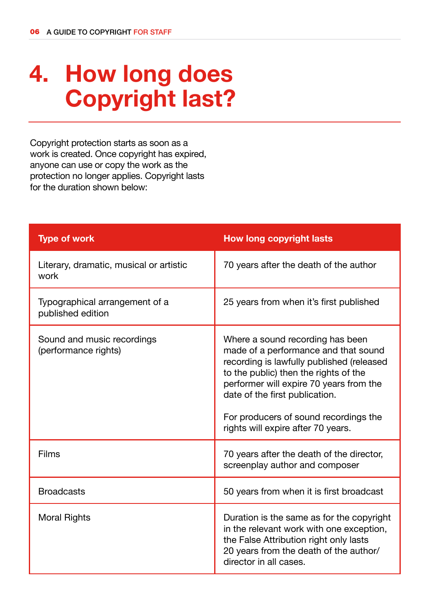# 4. How long does Copyright last?

Copyright protection starts as soon as a work is created. Once copyright has expired, anyone can use or copy the work as the protection no longer applies. Copyright lasts for the duration shown below:

| <b>Type of work</b>                                 | <b>How long copyright lasts</b>                                                                                                                                                                                                                                                                                            |
|-----------------------------------------------------|----------------------------------------------------------------------------------------------------------------------------------------------------------------------------------------------------------------------------------------------------------------------------------------------------------------------------|
| Literary, dramatic, musical or artistic<br>work     | 70 years after the death of the author                                                                                                                                                                                                                                                                                     |
| Typographical arrangement of a<br>published edition | 25 years from when it's first published                                                                                                                                                                                                                                                                                    |
| Sound and music recordings<br>(performance rights)  | Where a sound recording has been<br>made of a performance and that sound<br>recording is lawfully published (released<br>to the public) then the rights of the<br>performer will expire 70 years from the<br>date of the first publication.<br>For producers of sound recordings the<br>rights will expire after 70 years. |
| Films                                               | 70 years after the death of the director,<br>screenplay author and composer                                                                                                                                                                                                                                                |
| <b>Broadcasts</b>                                   | 50 years from when it is first broadcast                                                                                                                                                                                                                                                                                   |
| <b>Moral Rights</b>                                 | Duration is the same as for the copyright<br>in the relevant work with one exception,<br>the False Attribution right only lasts<br>20 years from the death of the author/<br>director in all cases.                                                                                                                        |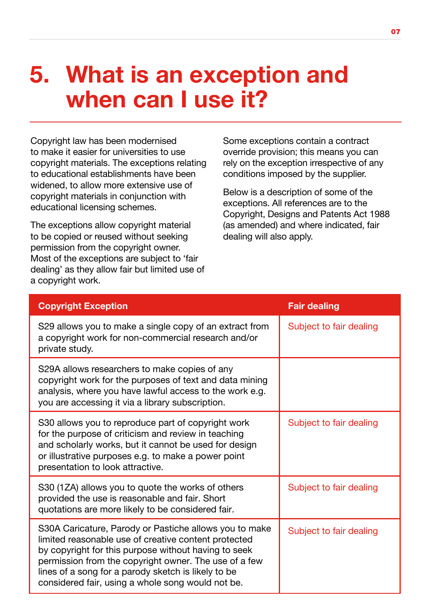### 5. What is an exception and when can I use it?

Copyright law has been modernised to make it easier for universities to use copyright materials. The exceptions relating to educational establishments have been widened, to allow more extensive use of copyright materials in conjunction with educational licensing schemes.

The exceptions allow copyright material to be copied or reused without seeking permission from the copyright owner. Most of the exceptions are subject to 'fair dealing' as they allow fair but limited use of a copyright work.

Some exceptions contain a contract override provision; this means you can rely on the exception irrespective of any conditions imposed by the supplier.

Below is a description of some of the exceptions. All references are to the Copyright, Designs and Patents Act 1988 (as amended) and where indicated, fair dealing will also apply.

| <b>Copyright Exception</b>                                                                                                                                                                                                                                                                                                                  | <b>Fair dealing</b>     |
|---------------------------------------------------------------------------------------------------------------------------------------------------------------------------------------------------------------------------------------------------------------------------------------------------------------------------------------------|-------------------------|
| S29 allows you to make a single copy of an extract from<br>a copyright work for non-commercial research and/or<br>private study.                                                                                                                                                                                                            | Subject to fair dealing |
| S29A allows researchers to make copies of any<br>copyright work for the purposes of text and data mining<br>analysis, where you have lawful access to the work e.g.<br>you are accessing it via a library subscription.                                                                                                                     |                         |
| S30 allows you to reproduce part of copyright work<br>for the purpose of criticism and review in teaching<br>and scholarly works, but it cannot be used for design<br>or illustrative purposes e.g. to make a power point<br>presentation to look attractive.                                                                               | Subject to fair dealing |
| S30 (1ZA) allows you to quote the works of others<br>provided the use is reasonable and fair. Short<br>quotations are more likely to be considered fair.                                                                                                                                                                                    | Subject to fair dealing |
| S30A Caricature, Parody or Pastiche allows you to make<br>limited reasonable use of creative content protected<br>by copyright for this purpose without having to seek<br>permission from the copyright owner. The use of a few<br>lines of a song for a parody sketch is likely to be<br>considered fair, using a whole song would not be. | Subject to fair dealing |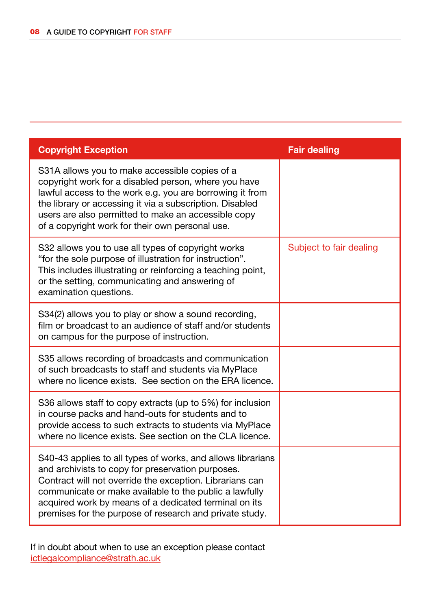| <b>Copyright Exception</b>                                                                                                                                                                                                                                                                                                                                 | <b>Fair dealing</b>     |
|------------------------------------------------------------------------------------------------------------------------------------------------------------------------------------------------------------------------------------------------------------------------------------------------------------------------------------------------------------|-------------------------|
| S31A allows you to make accessible copies of a<br>copyright work for a disabled person, where you have<br>lawful access to the work e.g. you are borrowing it from<br>the library or accessing it via a subscription. Disabled<br>users are also permitted to make an accessible copy<br>of a copyright work for their own personal use.                   |                         |
| S32 allows you to use all types of copyright works<br>"for the sole purpose of illustration for instruction".<br>This includes illustrating or reinforcing a teaching point,<br>or the setting, communicating and answering of<br>examination questions.                                                                                                   | Subject to fair dealing |
| S34(2) allows you to play or show a sound recording,<br>film or broadcast to an audience of staff and/or students<br>on campus for the purpose of instruction.                                                                                                                                                                                             |                         |
| S35 allows recording of broadcasts and communication<br>of such broadcasts to staff and students via MyPlace<br>where no licence exists. See section on the ERA licence.                                                                                                                                                                                   |                         |
| S36 allows staff to copy extracts (up to 5%) for inclusion<br>in course packs and hand-outs for students and to<br>provide access to such extracts to students via MyPlace<br>where no licence exists. See section on the CLA licence.                                                                                                                     |                         |
| S40-43 applies to all types of works, and allows librarians<br>and archivists to copy for preservation purposes.<br>Contract will not override the exception. Librarians can<br>communicate or make available to the public a lawfully<br>acquired work by means of a dedicated terminal on its<br>premises for the purpose of research and private study. |                         |

If in doubt about when to use an exception please contact ictlegalcompliance@strath.ac.uk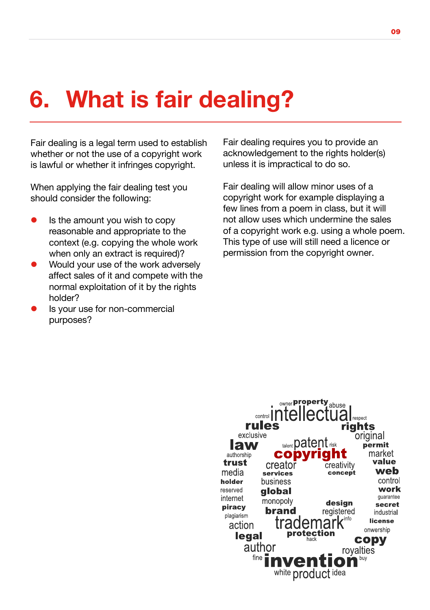### 6. What is fair dealing?

Fair dealing is a legal term used to establish whether or not the use of a copyright work is lawful or whether it infringes copyright.

When applying the fair dealing test you should consider the following:

- Is the amount you wish to copy reasonable and appropriate to the context (e.g. copying the whole work when only an extract is required)?
- Would your use of the work adversely affect sales of it and compete with the normal exploitation of it by the rights holder?
- l Is your use for non-commercial purposes?

Fair dealing requires you to provide an acknowledgement to the rights holder(s) unless it is impractical to do so.

Fair dealing will allow minor uses of a copyright work for example displaying a few lines from a poem in class, but it will not allow uses which undermine the sales of a copyright work e.g. using a whole poem. This type of use will still need a licence or permission from the copyright owner.

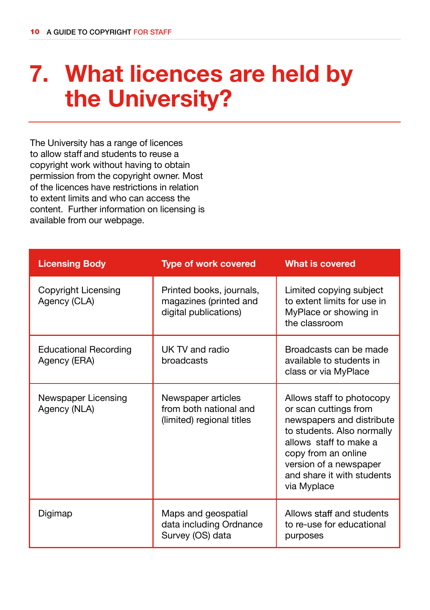### 7. What licences are held by the University?

The University has a range of licences to allow staff and students to reuse a copyright work without having to obtain permission from the copyright owner. Most of the licences have restrictions in relation to extent limits and who can access the content. Further information on licensing is available from our webpage.

| <b>Licensing Body</b>                        | <b>Type of work covered</b>                                                 | <b>What is covered</b>                                                                                                                                                                                                                |
|----------------------------------------------|-----------------------------------------------------------------------------|---------------------------------------------------------------------------------------------------------------------------------------------------------------------------------------------------------------------------------------|
| Copyright Licensing<br>Agency (CLA)          | Printed books, journals,<br>magazines (printed and<br>digital publications) | Limited copying subject<br>to extent limits for use in<br>MyPlace or showing in<br>the classroom                                                                                                                                      |
| <b>Educational Recording</b><br>Agency (ERA) | UK TV and radio<br>broadcasts                                               | Broadcasts can be made<br>available to students in<br>class or via MyPlace                                                                                                                                                            |
| Newspaper Licensing<br>Agency (NLA)          | Newspaper articles<br>from both national and<br>(limited) regional titles   | Allows staff to photocopy<br>or scan cuttings from<br>newspapers and distribute<br>to students. Also normally<br>allows staff to make a<br>copy from an online<br>version of a newspaper<br>and share it with students<br>via Myplace |
| Digimap                                      | Maps and geospatial<br>data including Ordnance<br>Survey (OS) data          | Allows staff and students<br>to re-use for educational<br>purposes                                                                                                                                                                    |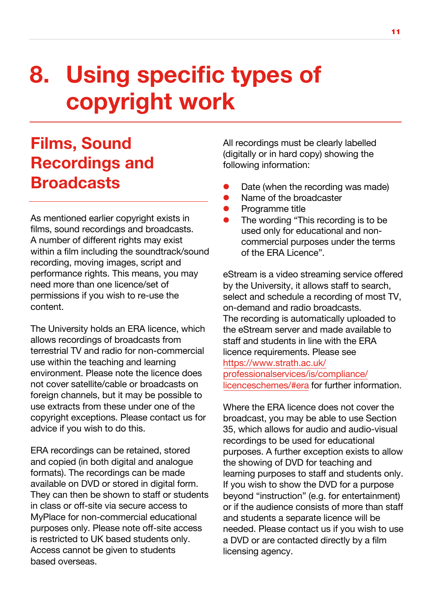## 8. Using specific types of copyright work

#### Films, Sound Recordings and **Broadcasts**

As mentioned earlier copyright exists in films, sound recordings and broadcasts. A number of different rights may exist within a film including the soundtrack/sound recording, moving images, script and performance rights. This means, you may need more than one licence/set of permissions if you wish to re-use the content.

The University holds an ERA licence, which allows recordings of broadcasts from terrestrial TV and radio for non-commercial use within the teaching and learning environment. Please note the licence does not cover satellite/cable or broadcasts on foreign channels, but it may be possible to use extracts from these under one of the copyright exceptions. Please contact us for advice if you wish to do this.

ERA recordings can be retained, stored and copied (in both digital and analogue formats). The recordings can be made available on DVD or stored in digital form. They can then be shown to staff or students in class or off-site via secure access to MyPlace for non-commercial educational purposes only. Please note off-site access is restricted to UK based students only. Access cannot be given to students based overseas.

All recordings must be clearly labelled (digitally or in hard copy) showing the following information:

- Date (when the recording was made)
- Name of the broadcaster
- Programme title
- The wording "This recording is to be used only for educational and noncommercial purposes under the terms of the ERA Licence".

eStream is a video streaming service offered by the University, it allows staff to search, select and schedule a recording of most TV, on-demand and radio broadcasts. The recording is automatically uploaded to the eStream server and made available to staff and students in line with the ERA licence requirements. Please see https://www.strath.ac.uk/ [professionalservices/is/compliance/](https://www.strath.ac.uk/professionalservices/is/compliance/licenceschemes/#era) licenceschemes/#era for further information.

Where the ERA licence does not cover the broadcast, you may be able to use Section 35, which allows for audio and audio-visual recordings to be used for educational purposes. A further exception exists to allow the showing of DVD for teaching and learning purposes to staff and students only. If you wish to show the DVD for a purpose beyond "instruction" (e.g. for entertainment) or if the audience consists of more than staff and students a separate licence will be needed. Please contact us if you wish to use a DVD or are contacted directly by a film licensing agency.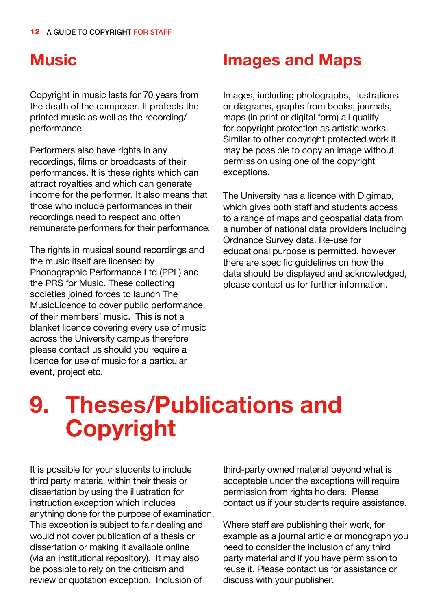#### **Music**

Copyright in music lasts for 70 years from the death of the composer. It protects the printed music as well as the recording/ performance.

Performers also have rights in any recordings, films or broadcasts of their performances. It is these rights which can attract royalties and which can generate income for the performer. It also means that those who include performances in their recordings need to respect and often remunerate performers for their performance.

The rights in musical sound recordings and the music itself are licensed by Phonographic Performance Ltd (PPL) and the PRS for Music. These collecting societies joined forces to launch The MusicLicence to cover public performance of their members' music. This is not a blanket licence covering every use of music across the University campus therefore please contact us should you require a licence for use of music for a particular event, project etc.

#### Images and Maps

Images, including photographs, illustrations or diagrams, graphs from books, journals, maps (in print or digital form) all qualify for copyright protection as artistic works. Similar to other copyright protected work it may be possible to copy an image without permission using one of the copyright exceptions.

The University has a licence with Digimap, which gives both staff and students access to a range of maps and geospatial data from a number of national data providers including Ordnance Survey data. Re-use for educational purpose is permitted, however there are specific guidelines on how the data should be displayed and acknowledged, please contact us for further information.

### 9. Theses/Publications and Copyright

It is possible for your students to include third party material within their thesis or dissertation by using the illustration for instruction exception which includes anything done for the purpose of examination. This exception is subject to fair dealing and would not cover publication of a thesis or dissertation or making it available online (via an institutional repository). It may also be possible to rely on the criticism and review or quotation exception. Inclusion of

third-party owned material beyond what is acceptable under the exceptions will require permission from rights holders. Please contact us if your students require assistance.

Where staff are publishing their work, for example as a journal article or monograph you need to consider the inclusion of any third party material and if you have permission to reuse it. Please contact us for assistance or discuss with your publisher.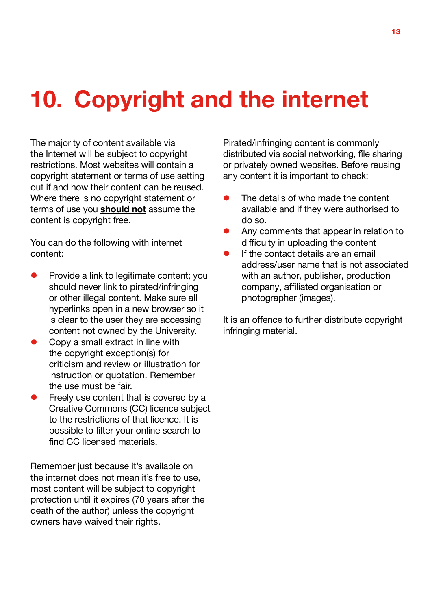# 10. Copyright and the internet

The majority of content available via the Internet will be subject to copyright restrictions. Most websites will contain a copyright statement or terms of use setting out if and how their content can be reused. Where there is no copyright statement or terms of use you **should not** assume the content is copyright free.

You can do the following with internet content:

- Provide a link to legitimate content; you should never link to pirated/infringing or other illegal content. Make sure all hyperlinks open in a new browser so it is clear to the user they are accessing content not owned by the University.
- Copy a small extract in line with the copyright exception(s) for criticism and review or illustration for instruction or quotation. Remember the use must be fair.
- Freely use content that is covered by a Creative Commons (CC) licence subject to the restrictions of that licence. It is possible to filter your online search to find CC licensed materials.

Remember just because it's available on the internet does not mean it's free to use, most content will be subject to copyright protection until it expires (70 years after the death of the author) unless the copyright owners have waived their rights.

Pirated/infringing content is commonly distributed via social networking, file sharing or privately owned websites. Before reusing any content it is important to check:

- The details of who made the content available and if they were authorised to do so.
- l Any comments that appear in relation to difficulty in uploading the content
- If the contact details are an email address/user name that is not associated with an author, publisher, production company, affiliated organisation or photographer (images).

It is an offence to further distribute copyright infringing material.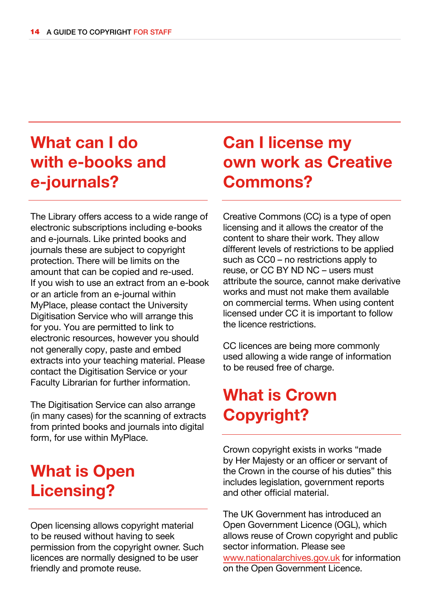### What can I do with e-books and e-journals?

The Library offers access to a wide range of electronic subscriptions including e-books and e-journals. Like printed books and journals these are subject to copyright protection. There will be limits on the amount that can be copied and re-used. If you wish to use an extract from an e-book or an article from an e-journal within MyPlace, please contact the University Digitisation Service who will arrange this for you. You are permitted to link to electronic resources, however you should not generally copy, paste and embed extracts into your teaching material. Please contact the Digitisation Service or your Faculty Librarian for further information.

The Digitisation Service can also arrange (in many cases) for the scanning of extracts from printed books and journals into digital form, for use within MyPlace.

#### What is Open Licensing?

Open licensing allows copyright material to be reused without having to seek permission from the copyright owner. Such licences are normally designed to be user friendly and promote reuse.

#### Can I license my own work as Creative Commons?

Creative Commons (CC) is a type of open licensing and it allows the creator of the content to share their work. They allow different levels of restrictions to be applied such as CC0 – no restrictions apply to reuse, or CC BY ND NC – users must attribute the source, cannot make derivative works and must not make them available on commercial terms. When using content licensed under CC it is important to follow the licence restrictions.

CC licences are being more commonly used allowing a wide range of information to be reused free of charge.

#### What is Crown Copyright?

Crown copyright exists in works "made by Her Majesty or an officer or servant of the Crown in the course of his duties" this includes legislation, government reports and other official material.

The UK Government has introduced an Open Government Licence (OGL), which allows reuse of Crown copyright and public sector information. Please see www.nationalarchives.gov.uk for information on the Open Government Licence.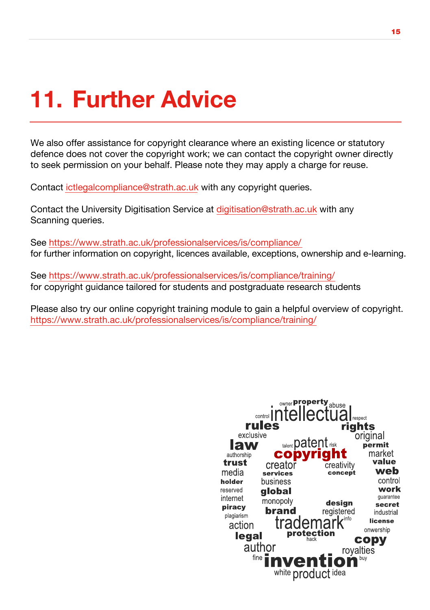## 11. Further Advice

We also offer assistance for copyright clearance where an existing licence or statutory defence does not cover the copyright work; we can contact the copyright owner directly to seek permission on your behalf. Please note they may apply a charge for reuse.

Contact ictlegalcompliance@strath.ac.uk with any copyright queries.

Contact the University Digitisation Service at digitisation@strath.ac.uk with any Scanning queries.

Se[e https://www.strath.ac.uk/professionalservices/is/compliance/](https://www.strath.ac.uk/professionalservices/is/compliance/) for further information on copyright, licences available, exceptions, ownership and e-learning.

Se[e https://www.strath.ac.uk/professionalservices/is/compliance/training/](https://www.strath.ac.uk/professionalservices/is/compliance/training/) for copyright guidance tailored for students and postgraduate research students

Please also try our online copyright training module to gain a helpful overview of copyright. <https://www.strath.ac.uk/professionalservices/is/compliance/training/>